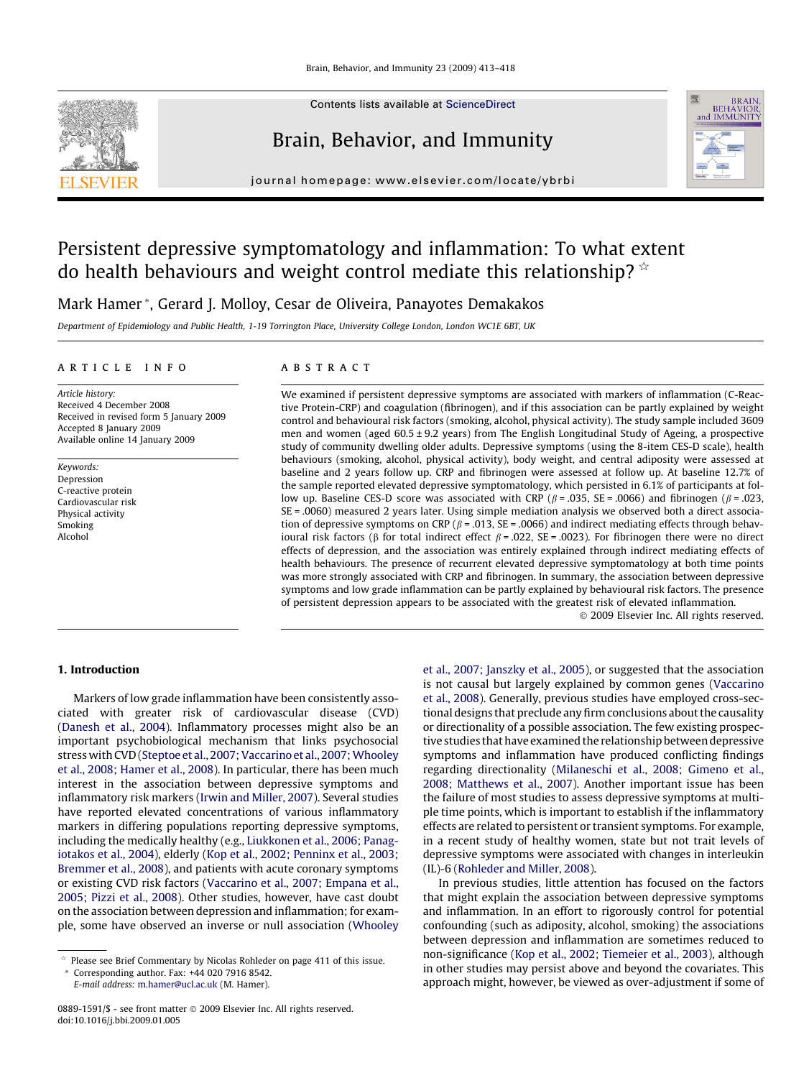

Contents lists available at [ScienceDirect](http://www.sciencedirect.com/science/journal/08891591)

# Brain, Behavior, and Immunity



journal homepage: [www.elsevier.com/locate/ybrbi](http://www.elsevier.com/locate/ybrbi)

# Persistent depressive symptomatology and inflammation: To what extent do health behaviours and weight control mediate this relationship?  $\dot{\alpha}$

Mark Hamer \*, Gerard J. Molloy, Cesar de Oliveira, Panayotes Demakakos

Department of Epidemiology and Public Health, 1-19 Torrington Place, University College London, London WC1E 6BT, UK

## article info

Article history: Received 4 December 2008 Received in revised form 5 January 2009 Accepted 8 January 2009 Available online 14 January 2009

Keywords: Depression C-reactive protein Cardiovascular risk Physical activity Smoking Alcohol

## **ABSTRACT**

We examined if persistent depressive symptoms are associated with markers of inflammation (C-Reactive Protein-CRP) and coagulation (fibrinogen), and if this association can be partly explained by weight control and behavioural risk factors (smoking, alcohol, physical activity). The study sample included 3609 men and women (aged 60.5 ± 9.2 years) from The English Longitudinal Study of Ageing, a prospective study of community dwelling older adults. Depressive symptoms (using the 8-item CES-D scale), health behaviours (smoking, alcohol, physical activity), body weight, and central adiposity were assessed at baseline and 2 years follow up. CRP and fibrinogen were assessed at follow up. At baseline 12.7% of the sample reported elevated depressive symptomatology, which persisted in 6.1% of participants at follow up. Baseline CES-D score was associated with CRP ( $\beta$  = .035, SE = .0066) and fibrinogen ( $\beta$  = .023, SE = .0060) measured 2 years later. Using simple mediation analysis we observed both a direct association of depressive symptoms on CRP ( $\beta$  = .013, SE = .0066) and indirect mediating effects through behavioural risk factors ( $\beta$  for total indirect effect  $\beta$  = .022, SE = .0023). For fibrinogen there were no direct effects of depression, and the association was entirely explained through indirect mediating effects of health behaviours. The presence of recurrent elevated depressive symptomatology at both time points was more strongly associated with CRP and fibrinogen. In summary, the association between depressive symptoms and low grade inflammation can be partly explained by behavioural risk factors. The presence of persistent depression appears to be associated with the greatest risk of elevated inflammation.

- 2009 Elsevier Inc. All rights reserved.

#### 1. Introduction

Markers of low grade inflammation have been consistently associated with greater risk of cardiovascular disease (CVD) ([Danesh et al., 2004\)](#page--1-0). Inflammatory processes might also be an important psychobiological mechanism that links psychosocial stress with CVD (Steptoe et al., 2007; Vaccarino et al., 2007; Whooley [et al., 2008; Hamer et al., 2008](#page--1-0)). In particular, there has been much interest in the association between depressive symptoms and inflammatory risk markers ([Irwin and Miller, 2007\)](#page--1-0). Several studies have reported elevated concentrations of various inflammatory markers in differing populations reporting depressive symptoms, including the medically healthy (e.g., [Liukkonen et al., 2006; Panag](#page--1-0)[iotakos et al., 2004\)](#page--1-0), elderly [\(Kop et al., 2002; Penninx et al., 2003;](#page--1-0) [Bremmer et al., 2008\)](#page--1-0), and patients with acute coronary symptoms or existing CVD risk factors [\(Vaccarino et al., 2007; Empana et al.,](#page--1-0) [2005; Pizzi et al., 2008\)](#page--1-0). Other studies, however, have cast doubt on the association between depression and inflammation; for example, some have observed an inverse or null association ([Whooley](#page--1-0)

E-mail address: [m.hamer@ucl.ac.uk](mailto:m.hamer@ucl.ac.uk) (M. Hamer).

[et al., 2007; Janszky et al., 2005\)](#page--1-0), or suggested that the association is not causal but largely explained by common genes [\(Vaccarino](#page--1-0) [et al., 2008](#page--1-0)). Generally, previous studies have employed cross-sectional designs that preclude any firm conclusions about the causality or directionality of a possible association. The few existing prospective studies that have examined the relationship between depressive symptoms and inflammation have produced conflicting findings regarding directionality ([Milaneschi et al., 2008; Gimeno et al.,](#page--1-0) [2008; Matthews et al., 2007\)](#page--1-0). Another important issue has been the failure of most studies to assess depressive symptoms at multiple time points, which is important to establish if the inflammatory effects are related to persistent or transient symptoms. For example, in a recent study of healthy women, state but not trait levels of depressive symptoms were associated with changes in interleukin (IL)-6 [\(Rohleder and Miller, 2008](#page--1-0)).

In previous studies, little attention has focused on the factors that might explain the association between depressive symptoms and inflammation. In an effort to rigorously control for potential confounding (such as adiposity, alcohol, smoking) the associations between depression and inflammation are sometimes reduced to non-significance [\(Kop et al., 2002; Tiemeier et al., 2003\)](#page--1-0), although in other studies may persist above and beyond the covariates. This approach might, however, be viewed as over-adjustment if some of

 $*$  Please see Brief Commentary by Nicolas Rohleder on page 411 of this issue. \* Corresponding author. Fax: +44 020 7916 8542.

<sup>0889-1591/\$ -</sup> see front matter © 2009 Elsevier Inc. All rights reserved. doi:10.1016/j.bbi.2009.01.005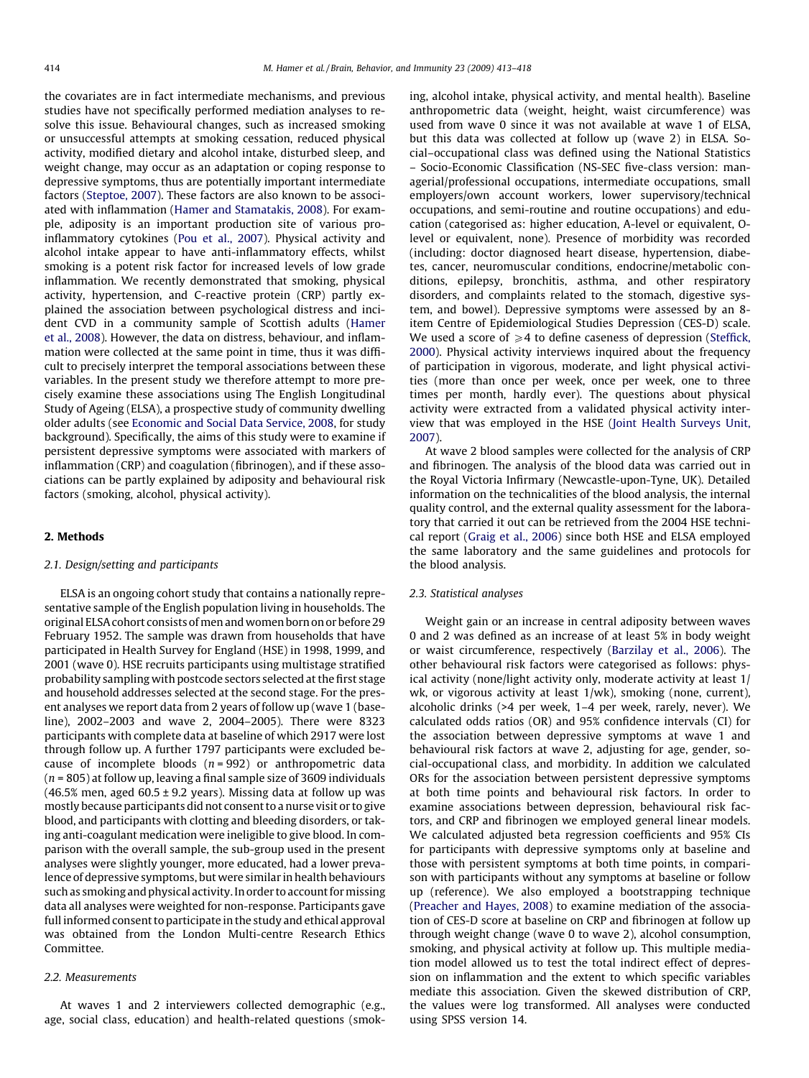the covariates are in fact intermediate mechanisms, and previous studies have not specifically performed mediation analyses to resolve this issue. Behavioural changes, such as increased smoking or unsuccessful attempts at smoking cessation, reduced physical activity, modified dietary and alcohol intake, disturbed sleep, and weight change, may occur as an adaptation or coping response to depressive symptoms, thus are potentially important intermediate factors ([Steptoe, 2007\)](#page--1-0). These factors are also known to be associated with inflammation [\(Hamer and Stamatakis, 2008\)](#page--1-0). For example, adiposity is an important production site of various proinflammatory cytokines [\(Pou et al., 2007\)](#page--1-0). Physical activity and alcohol intake appear to have anti-inflammatory effects, whilst smoking is a potent risk factor for increased levels of low grade inflammation. We recently demonstrated that smoking, physical activity, hypertension, and C-reactive protein (CRP) partly explained the association between psychological distress and incident CVD in a community sample of Scottish adults [\(Hamer](#page--1-0) [et al., 2008](#page--1-0)). However, the data on distress, behaviour, and inflammation were collected at the same point in time, thus it was difficult to precisely interpret the temporal associations between these variables. In the present study we therefore attempt to more precisely examine these associations using The English Longitudinal Study of Ageing (ELSA), a prospective study of community dwelling older adults (see [Economic and Social Data Service, 2008,](#page--1-0) for study background). Specifically, the aims of this study were to examine if persistent depressive symptoms were associated with markers of inflammation (CRP) and coagulation (fibrinogen), and if these associations can be partly explained by adiposity and behavioural risk factors (smoking, alcohol, physical activity).

#### 2. Methods

#### 2.1. Design/setting and participants

ELSA is an ongoing cohort study that contains a nationally representative sample of the English population living in households. The original ELSA cohort consists ofmen and women born on or before 29 February 1952. The sample was drawn from households that have participated in Health Survey for England (HSE) in 1998, 1999, and 2001 (wave 0). HSE recruits participants using multistage stratified probability sampling with postcode sectors selected at the first stage and household addresses selected at the second stage. For the present analyses we report data from 2 years of follow up (wave 1 (baseline), 2002–2003 and wave 2, 2004–2005). There were 8323 participants with complete data at baseline of which 2917 were lost through follow up. A further 1797 participants were excluded because of incomplete bloods  $(n = 992)$  or anthropometric data  $(n = 805)$  at follow up, leaving a final sample size of 3609 individuals  $(46.5\%$  men, aged  $60.5 \pm 9.2$  years). Missing data at follow up was mostly because participants did not consent to a nurse visit or to give blood, and participants with clotting and bleeding disorders, or taking anti-coagulant medication were ineligible to give blood. In comparison with the overall sample, the sub-group used in the present analyses were slightly younger, more educated, had a lower prevalence of depressive symptoms, but were similar in health behaviours such as smoking and physical activity. In order to account for missing data all analyses were weighted for non-response. Participants gave full informed consent to participate in the study and ethical approval was obtained from the London Multi-centre Research Ethics Committee.

#### 2.2. Measurements

At waves 1 and 2 interviewers collected demographic (e.g., age, social class, education) and health-related questions (smoking, alcohol intake, physical activity, and mental health). Baseline anthropometric data (weight, height, waist circumference) was used from wave 0 since it was not available at wave 1 of ELSA, but this data was collected at follow up (wave 2) in ELSA. Social–occupational class was defined using the National Statistics – Socio-Economic Classification (NS-SEC five-class version: managerial/professional occupations, intermediate occupations, small employers/own account workers, lower supervisory/technical occupations, and semi-routine and routine occupations) and education (categorised as: higher education, A-level or equivalent, Olevel or equivalent, none). Presence of morbidity was recorded (including: doctor diagnosed heart disease, hypertension, diabetes, cancer, neuromuscular conditions, endocrine/metabolic conditions, epilepsy, bronchitis, asthma, and other respiratory disorders, and complaints related to the stomach, digestive system, and bowel). Depressive symptoms were assessed by an 8 item Centre of Epidemiological Studies Depression (CES-D) scale. We used a score of  $\geq 4$  to define caseness of depression [\(Steffick,](#page--1-0) [2000](#page--1-0)). Physical activity interviews inquired about the frequency of participation in vigorous, moderate, and light physical activities (more than once per week, once per week, one to three times per month, hardly ever). The questions about physical activity were extracted from a validated physical activity interview that was employed in the HSE [\(Joint Health Surveys Unit,](#page--1-0) [2007\)](#page--1-0).

At wave 2 blood samples were collected for the analysis of CRP and fibrinogen. The analysis of the blood data was carried out in the Royal Victoria Infirmary (Newcastle-upon-Tyne, UK). Detailed information on the technicalities of the blood analysis, the internal quality control, and the external quality assessment for the laboratory that carried it out can be retrieved from the 2004 HSE technical report ([Graig et al., 2006\)](#page--1-0) since both HSE and ELSA employed the same laboratory and the same guidelines and protocols for the blood analysis.

## 2.3. Statistical analyses

Weight gain or an increase in central adiposity between waves 0 and 2 was defined as an increase of at least 5% in body weight or waist circumference, respectively ([Barzilay et al., 2006\)](#page--1-0). The other behavioural risk factors were categorised as follows: physical activity (none/light activity only, moderate activity at least 1/ wk, or vigorous activity at least 1/wk), smoking (none, current), alcoholic drinks (>4 per week, 1–4 per week, rarely, never). We calculated odds ratios (OR) and 95% confidence intervals (CI) for the association between depressive symptoms at wave 1 and behavioural risk factors at wave 2, adjusting for age, gender, social-occupational class, and morbidity. In addition we calculated ORs for the association between persistent depressive symptoms at both time points and behavioural risk factors. In order to examine associations between depression, behavioural risk factors, and CRP and fibrinogen we employed general linear models. We calculated adjusted beta regression coefficients and 95% CIs for participants with depressive symptoms only at baseline and those with persistent symptoms at both time points, in comparison with participants without any symptoms at baseline or follow up (reference). We also employed a bootstrapping technique ([Preacher and Hayes, 2008](#page--1-0)) to examine mediation of the association of CES-D score at baseline on CRP and fibrinogen at follow up through weight change (wave 0 to wave 2), alcohol consumption, smoking, and physical activity at follow up. This multiple mediation model allowed us to test the total indirect effect of depression on inflammation and the extent to which specific variables mediate this association. Given the skewed distribution of CRP, the values were log transformed. All analyses were conducted using SPSS version 14.